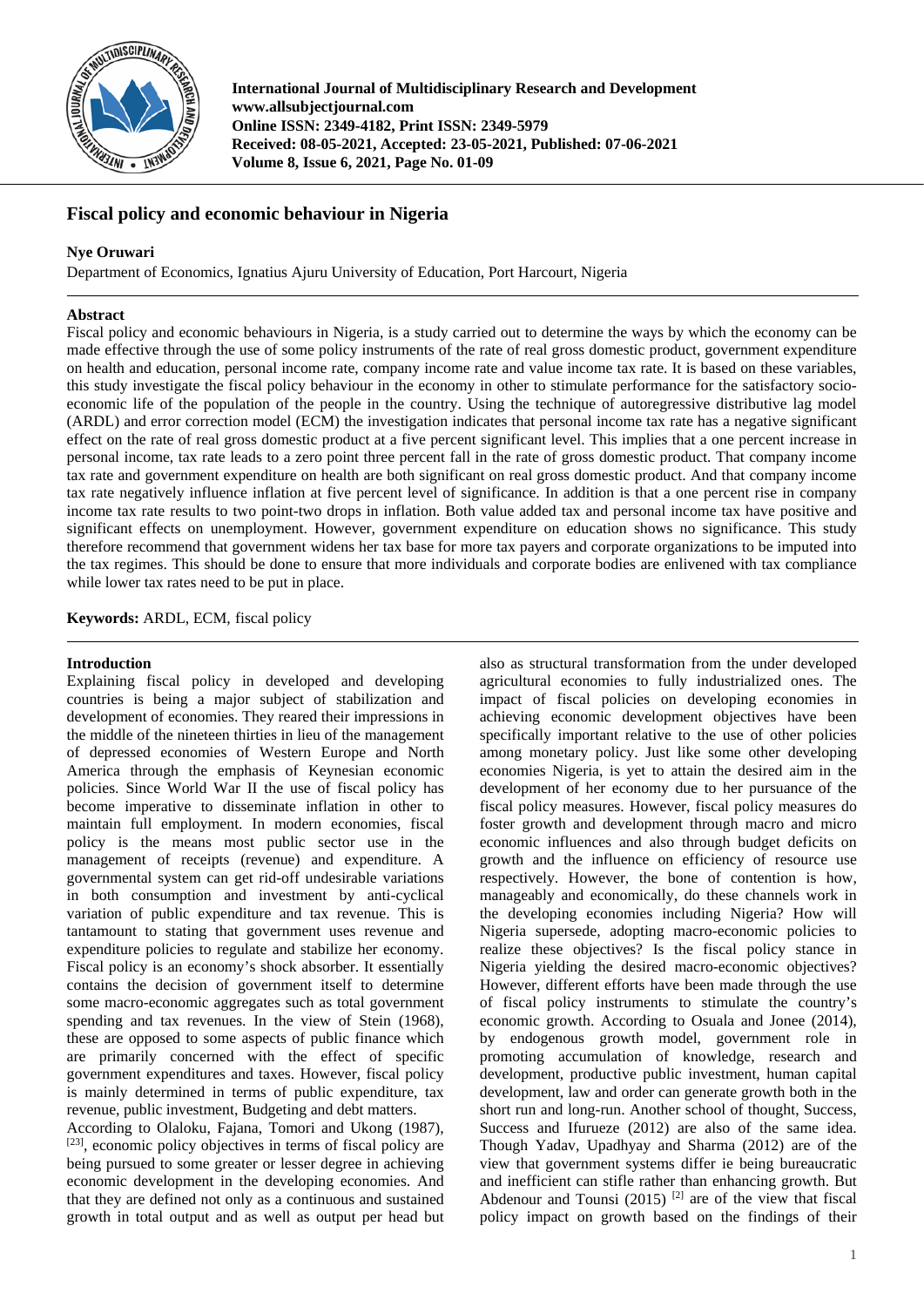

**International Journal of Multidisciplinary Research and Development www.allsubjectjournal.com Online ISSN: 2349-4182, Print ISSN: 2349-5979 Received: 08-05-2021, Accepted: 23-05-2021, Published: 07-06-2021 Volume 8, Issue 6, 2021, Page No. 01-09**

# **Fiscal policy and economic behaviour in Nigeria**

## **Nye Oruwari**

Department of Economics, Ignatius Ajuru University of Education, Port Harcourt, Nigeria

## **Abstract**

Fiscal policy and economic behaviours in Nigeria, is a study carried out to determine the ways by which the economy can be made effective through the use of some policy instruments of the rate of real gross domestic product, government expenditure on health and education, personal income rate, company income rate and value income tax rate. It is based on these variables, this study investigate the fiscal policy behaviour in the economy in other to stimulate performance for the satisfactory socioeconomic life of the population of the people in the country. Using the technique of autoregressive distributive lag model (ARDL) and error correction model (ECM) the investigation indicates that personal income tax rate has a negative significant effect on the rate of real gross domestic product at a five percent significant level. This implies that a one percent increase in personal income, tax rate leads to a zero point three percent fall in the rate of gross domestic product. That company income tax rate and government expenditure on health are both significant on real gross domestic product. And that company income tax rate negatively influence inflation at five percent level of significance. In addition is that a one percent rise in company income tax rate results to two point-two drops in inflation. Both value added tax and personal income tax have positive and significant effects on unemployment. However, government expenditure on education shows no significance. This study therefore recommend that government widens her tax base for more tax payers and corporate organizations to be imputed into the tax regimes. This should be done to ensure that more individuals and corporate bodies are enlivened with tax compliance while lower tax rates need to be put in place.

**Keywords:** ARDL, ECM, fiscal policy

## **Introduction**

Explaining fiscal policy in developed and developing countries is being a major subject of stabilization and development of economies. They reared their impressions in the middle of the nineteen thirties in lieu of the management of depressed economies of Western Europe and North America through the emphasis of Keynesian economic policies. Since World War II the use of fiscal policy has become imperative to disseminate inflation in other to maintain full employment. In modern economies, fiscal policy is the means most public sector use in the management of receipts (revenue) and expenditure. A governmental system can get rid-off undesirable variations in both consumption and investment by anti-cyclical variation of public expenditure and tax revenue. This is tantamount to stating that government uses revenue and expenditure policies to regulate and stabilize her economy. Fiscal policy is an economy's shock absorber. It essentially contains the decision of government itself to determine some macro-economic aggregates such as total government spending and tax revenues. In the view of Stein (1968), these are opposed to some aspects of public finance which are primarily concerned with the effect of specific government expenditures and taxes. However, fiscal policy is mainly determined in terms of public expenditure, tax revenue, public investment, Budgeting and debt matters.<br>According to Olaloku, Fajana, Tomori and Ukong (1987),

 $[23]$ , economic policy objectives in terms of fiscal policy are being pursued to some greater or lesser degree in achieving economic development in the developing economies. And that they are defined not only as a continuous and sustained growth in total output and as well as output per head but

also as structural transformation from the under developed agricultural economies to fully industrialized ones. The impact of fiscal policies on developing economies in achieving economic development objectives have been specifically important relative to the use of other policies among monetary policy. Just like some other developing economies Nigeria, is yet to attain the desired aim in the development of her economy due to her pursuance of the fiscal policy measures. However, fiscal policy measures do foster growth and development through macro and micro economic influences and also through budget deficits on growth and the influence on efficiency of resource use respectively. However, the bone of contention is how, manageably and economically, do these channels work in the developing economies including Nigeria? How will Nigeria supersede, adopting macro-economic policies to realize these objectives? Is the fiscal policy stance in Nigeria yielding the desired macro-economic objectives? However, different efforts have been made through the use of fiscal policy instruments to stimulate the country's economic growth. According to Osuala and Jonee (2014), by endogenous growth model, government role in promoting accumulation of knowledge, research and development, productive public investment, human capital development, law and order can generate growth both in the short run and long-run. Another school of thought, Success, Success and Ifurueze (2012) are also of the same idea. Though Yadav, Upadhyay and Sharma (2012) are of the view that government systems differ ie being bureaucratic and inefficient can stifle rather than enhancing growth. But Abdenour and Tounsi  $(2015)$  <sup>[2]</sup> are of the view that fiscal policy impact on growth based on the findings of their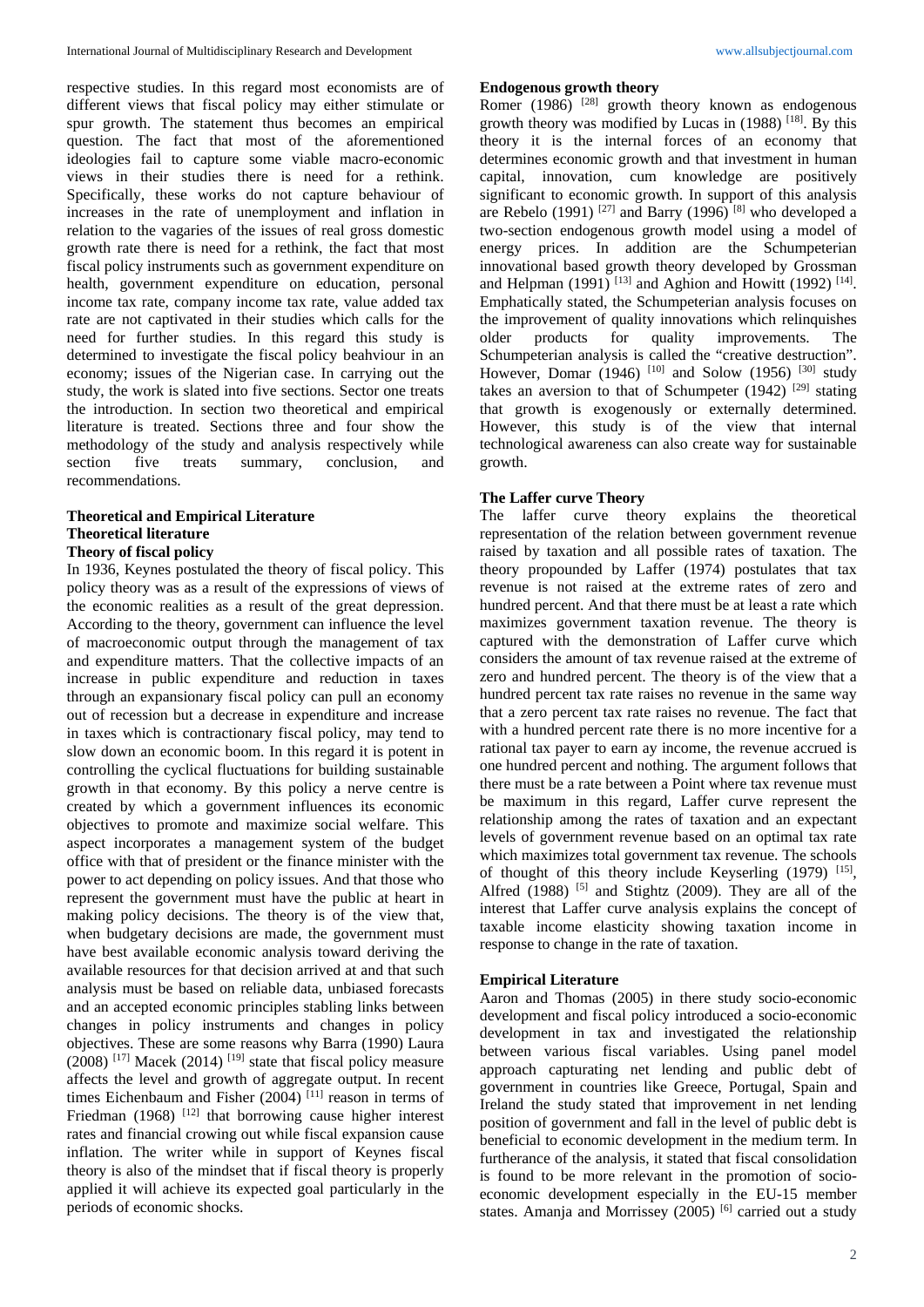respective studies. In this regard most economists are of different views that fiscal policy may either stimulate or spur growth. The statement thus becomes an empirical question. The fact that most of the aforementioned ideologies fail to capture some viable macro-economic views in their studies there is need for a rethink. Specifically, these works do not capture behaviour of increases in the rate of unemployment and inflation in relation to the vagaries of the issues of real gross domestic growth rate there is need for a rethink, the fact that most fiscal policy instruments such as government expenditure on health, government expenditure on education, personal income tax rate, company income tax rate, value added tax rate are not captivated in their studies which calls for the need for further studies. In this regard this study is determined to investigate the fiscal policy beahviour in an economy; issues of the Nigerian case. In carrying out the study, the work is slated into five sections. Sector one treats the introduction. In section two theoretical and empirical literature is treated. Sections three and four show the methodology of the study and analysis respectively while section five treats summary, conclusion, and recommendations.

## **Theoretical and Empirical Literature Theoretical literature Theory of fiscal policy**

In 1936, Keynes postulated the theory of fiscal policy. This policy theory was as a result of the expressions of views of the economic realities as a result of the great depression. According to the theory, government can influence the level of macroeconomic output through the management of tax and expenditure matters. That the collective impacts of an increase in public expenditure and reduction in taxes through an expansionary fiscal policy can pull an economy out of recession but a decrease in expenditure and increase in taxes which is contractionary fiscal policy, may tend to slow down an economic boom. In this regard it is potent in controlling the cyclical fluctuations for building sustainable growth in that economy. By this policy a nerve centre is created by which a government influences its economic objectives to promote and maximize social welfare. This aspect incorporates a management system of the budget office with that of president or the finance minister with the power to act depending on policy issues. And that those who represent the government must have the public at heart in making policy decisions. The theory is of the view that, when budgetary decisions are made, the government must have best available economic analysis toward deriving the available resources for that decision arrived at and that such analysis must be based on reliable data, unbiased forecasts and an accepted economic principles stabling links between changes in policy instruments and changes in policy objectives. These are some reasons why Barra (1990) Laura  $(2008)$ <sup>[17]</sup> Macek (2014)<sup>[19]</sup> state that fiscal policy measure affects the level and growth of aggregate output. In recent times Eichenbaum and Fisher (2004)<sup>[11]</sup> reason in terms of Friedman (1968)<sup>[12]</sup> that borrowing cause higher interest rates and financial crowing out while fiscal expansion cause inflation. The writer while in support of Keynes fiscal theory is also of the mindset that if fiscal theory is properly applied it will achieve its expected goal particularly in the periods of economic shocks.

## **Endogenous growth theory**

Romer (1986)  $[28]$  growth theory known as endogenous growth theory was modified by Lucas in  $(1988)$  <sup>[18]</sup>. By this theory it is the internal forces of an economy that determines economic growth and that investment in human capital, innovation, cum knowledge are positively significant to economic growth. In support of this analysis are Rebelo (1991) <sup>[27]</sup> and Barry (1996)<sup>[8]</sup> who developed a two-section endogenous growth model using a model of energy prices. In addition are the Schumpeterian innovational based growth theory developed by Grossman and Helpman  $(1991)$ <sup>[13]</sup> and Aghion and Howitt (1992)<sup>[14]</sup>. Emphatically stated, the Schumpeterian analysis focuses on the improvement of quality innovations which relinquishes older products for quality improvements. The Schumpeterian analysis is called the "creative destruction". However, Domar (1946) <sup>[10]</sup> and Solow (1956) <sup>[30]</sup> study takes an aversion to that of Schumpeter  $(1942)$ <sup>[29]</sup> stating that growth is exogenously or externally determined. However, this study is of the view that internal technological awareness can also create way for sustainable growth.

#### **The Laffer curve Theory**

The laffer curve theory explains the theoretical representation of the relation between government revenue raised by taxation and all possible rates of taxation. The theory propounded by Laffer (1974) postulates that tax revenue is not raised at the extreme rates of zero and hundred percent. And that there must be at least a rate which maximizes government taxation revenue. The theory is captured with the demonstration of Laffer curve which considers the amount of tax revenue raised at the extreme of zero and hundred percent. The theory is of the view that a hundred percent tax rate raises no revenue in the same way that a zero percent tax rate raises no revenue. The fact that with a hundred percent rate there is no more incentive for a rational tax payer to earn ay income, the revenue accrued is one hundred percent and nothing. The argument follows that there must be a rate between a Point where tax revenue must be maximum in this regard, Laffer curve represent the relationship among the rates of taxation and an expectant levels of government revenue based on an optimal tax rate which maximizes total government tax revenue. The schools of thought of this theory include Keyserling (1979) [15], Alfred  $(1988)$  [5] and Stightz (2009). They are all of the interest that Laffer curve analysis explains the concept of taxable income elasticity showing taxation income in response to change in the rate of taxation.

#### **Empirical Literature**

Aaron and Thomas (2005) in there study socio-economic development and fiscal policy introduced a socio-economic development in tax and investigated the relationship between various fiscal variables. Using panel model approach capturating net lending and public debt of government in countries like Greece, Portugal, Spain and Ireland the study stated that improvement in net lending position of government and fall in the level of public debt is beneficial to economic development in the medium term. In furtherance of the analysis, it stated that fiscal consolidation is found to be more relevant in the promotion of socioeconomic development especially in the EU-15 member states. Amanja and Morrissey  $(2005)$ <sup>[6]</sup> carried out a study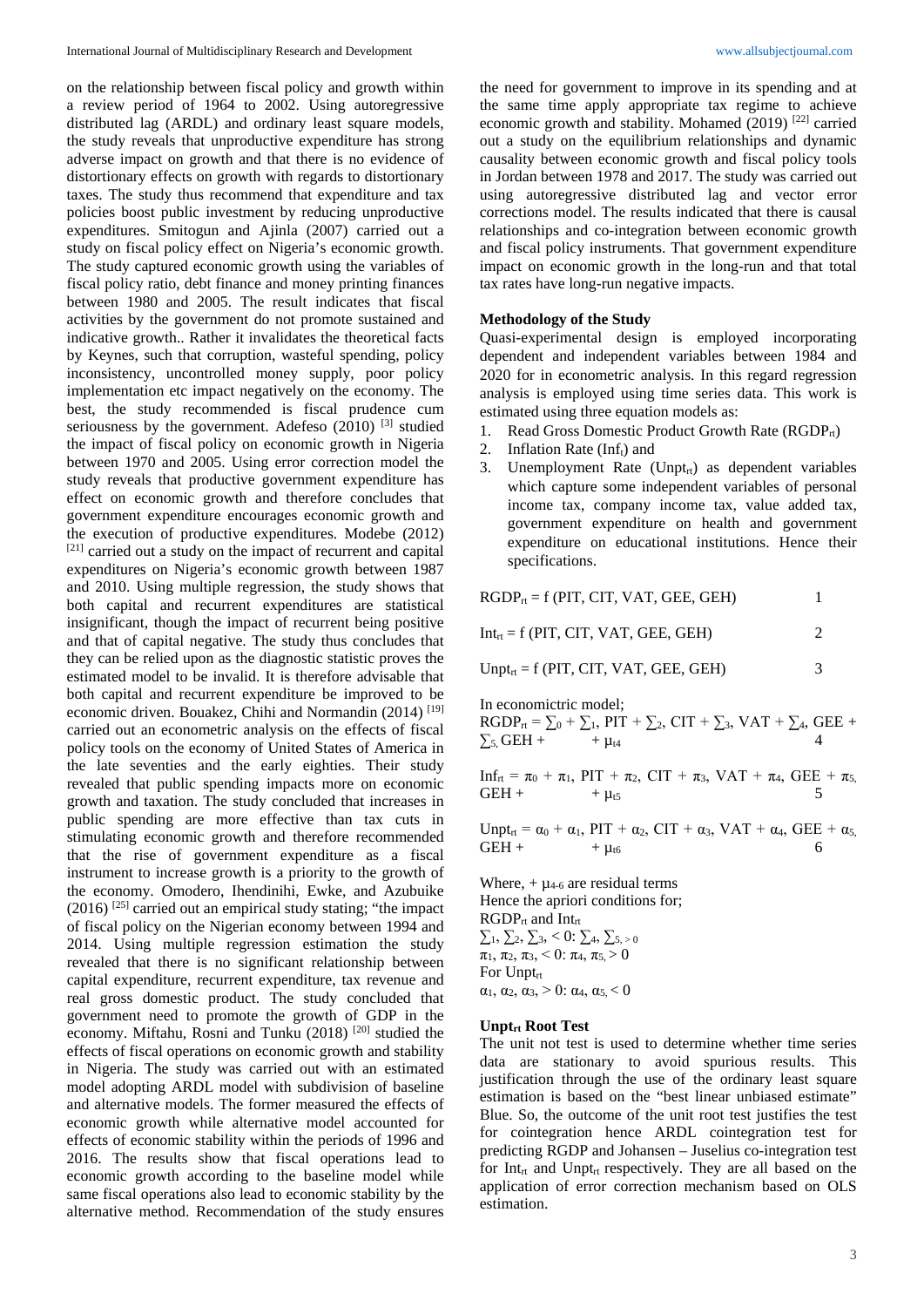on the relationship between fiscal policy and growth within a review period of 1964 to 2002. Using autoregressive distributed lag (ARDL) and ordinary least square models, the study reveals that unproductive expenditure has strong adverse impact on growth and that there is no evidence of distortionary effects on growth with regards to distortionary taxes. The study thus recommend that expenditure and tax policies boost public investment by reducing unproductive expenditures. Smitogun and Ajinla (2007) carried out a study on fiscal policy effect on Nigeria's economic growth. The study captured economic growth using the variables of fiscal policy ratio, debt finance and money printing finances between 1980 and 2005. The result indicates that fiscal activities by the government do not promote sustained and indicative growth.. Rather it invalidates the theoretical facts by Keynes, such that corruption, wasteful spending, policy inconsistency, uncontrolled money supply, poor policy implementation etc impact negatively on the economy. The best, the study recommended is fiscal prudence cum seriousness by the government. Adefeso  $(2010)$  [3] studied the impact of fiscal policy on economic growth in Nigeria between 1970 and 2005. Using error correction model the study reveals that productive government expenditure has effect on economic growth and therefore concludes that government expenditure encourages economic growth and the execution of productive expenditures. Modebe (2012) [21] carried out a study on the impact of recurrent and capital expenditures on Nigeria's economic growth between 1987 and 2010. Using multiple regression, the study shows that both capital and recurrent expenditures are statistical insignificant, though the impact of recurrent being positive and that of capital negative. The study thus concludes that they can be relied upon as the diagnostic statistic proves the estimated model to be invalid. It is therefore advisable that both capital and recurrent expenditure be improved to be economic driven. Bouakez, Chihi and Normandin  $(2014)$ <sup>[19]</sup> carried out an econometric analysis on the effects of fiscal policy tools on the economy of United States of America in the late seventies and the early eighties. Their study revealed that public spending impacts more on economic growth and taxation. The study concluded that increases in public spending are more effective than tax cuts in stimulating economic growth and therefore recommended that the rise of government expenditure as a fiscal instrument to increase growth is a priority to the growth of the economy. Omodero, Ihendinihi, Ewke, and Azubuike  $(2016)$ <sup>[25]</sup> carried out an empirical study stating; "the impact of fiscal policy on the Nigerian economy between 1994 and 2014. Using multiple regression estimation the study revealed that there is no significant relationship between capital expenditure, recurrent expenditure, tax revenue and real gross domestic product. The study concluded that government need to promote the growth of GDP in the economy. Miftahu, Rosni and Tunku (2018) [20] studied the effects of fiscal operations on economic growth and stability in Nigeria. The study was carried out with an estimated model adopting ARDL model with subdivision of baseline and alternative models. The former measured the effects of economic growth while alternative model accounted for effects of economic stability within the periods of 1996 and 2016. The results show that fiscal operations lead to economic growth according to the baseline model while same fiscal operations also lead to economic stability by the alternative method. Recommendation of the study ensures

the need for government to improve in its spending and at the same time apply appropriate tax regime to achieve economic growth and stability. Mohamed (2019) <sup>[22]</sup> carried out a study on the equilibrium relationships and dynamic causality between economic growth and fiscal policy tools in Jordan between 1978 and 2017. The study was carried out using autoregressive distributed lag and vector error corrections model. The results indicated that there is causal relationships and co-integration between economic growth and fiscal policy instruments. That government expenditure impact on economic growth in the long-run and that total tax rates have long-run negative impacts.

### **Methodology of the Study**

Quasi-experimental design is employed incorporating dependent and independent variables between 1984 and 2020 for in econometric analysis. In this regard regression analysis is employed using time series data. This work is estimated using three equation models as:

- 1. Read Gross Domestic Product Growth Rate (RGDP<sub>rt</sub>)
- 2. Inflation Rate  $(Inf<sub>t</sub>)$  and
- 3. Unemployment Rate (Unpt<sub>rt</sub>) as dependent variables which capture some independent variables of personal income tax, company income tax, value added tax, government expenditure on health and government expenditure on educational institutions. Hence their specifications.

| $RGDP_{rt} = f$ (PIT, CIT, VAT, GEE, GEH) |  |
|-------------------------------------------|--|
| $Int_{rt} = f$ (PIT, CIT, VAT, GEE, GEH)  |  |

| $Unpt_{rt} = f$ (PIT, CIT, VAT, GEE, GEH) |  |  |  |  |  |  |  |
|-------------------------------------------|--|--|--|--|--|--|--|
|-------------------------------------------|--|--|--|--|--|--|--|

In economictric model;

 $RGDP_{rt} = \sum_0 + \sum_1$ ,  $PIT + \sum_2$ ,  $CIT + \sum_3$ ,  $VAT + \sum_4$ ,  $GEE +$  $\Sigma_{5}$ , GEH +  $+ \mu_{t4}$ 

Inf<sub>rt</sub> =  $\pi_0$  +  $\pi_1$ , PIT +  $\pi_2$ , CIT +  $\pi_3$ , VAT +  $\pi_4$ , GEE +  $\pi_5$ , GEH +  $\mu_{t5}$ 

Unpt<sub>rt</sub> =  $\alpha_0$  +  $\alpha_1$ , PIT +  $\alpha_2$ , CIT +  $\alpha_3$ , VAT +  $\alpha_4$ , GEE +  $\alpha_5$ , GEH +  $+ \mu_{16}$ 

Where,  $+ \mu_{4-6}$  are residual terms Hence the apriori conditions for;  $RGDP_{rt}$  and Int<sub>rt</sub>  $\Sigma_1$ ,  $\Sigma_2$ ,  $\Sigma_3$ , < 0:  $\Sigma_4$ ,  $\Sigma_5$ , > 0  $\pi_1$ ,  $\pi_2$ ,  $\pi_3$ ,  $< 0$ :  $\pi_4$ ,  $\pi_5$ ,  $> 0$ For Unptrt  $\alpha_1, \alpha_2, \alpha_3, \geq 0$ :  $\alpha_4, \alpha_5, \leq 0$ 

#### **Unptrt Root Test**

The unit not test is used to determine whether time series data are stationary to avoid spurious results. This justification through the use of the ordinary least square estimation is based on the "best linear unbiased estimate" Blue. So, the outcome of the unit root test justifies the test for cointegration hence ARDL cointegration test for predicting RGDP and Johansen – Juselius co-integration test for Int<sub>rt</sub> and Unpt<sub>rt</sub> respectively. They are all based on the application of error correction mechanism based on OLS estimation.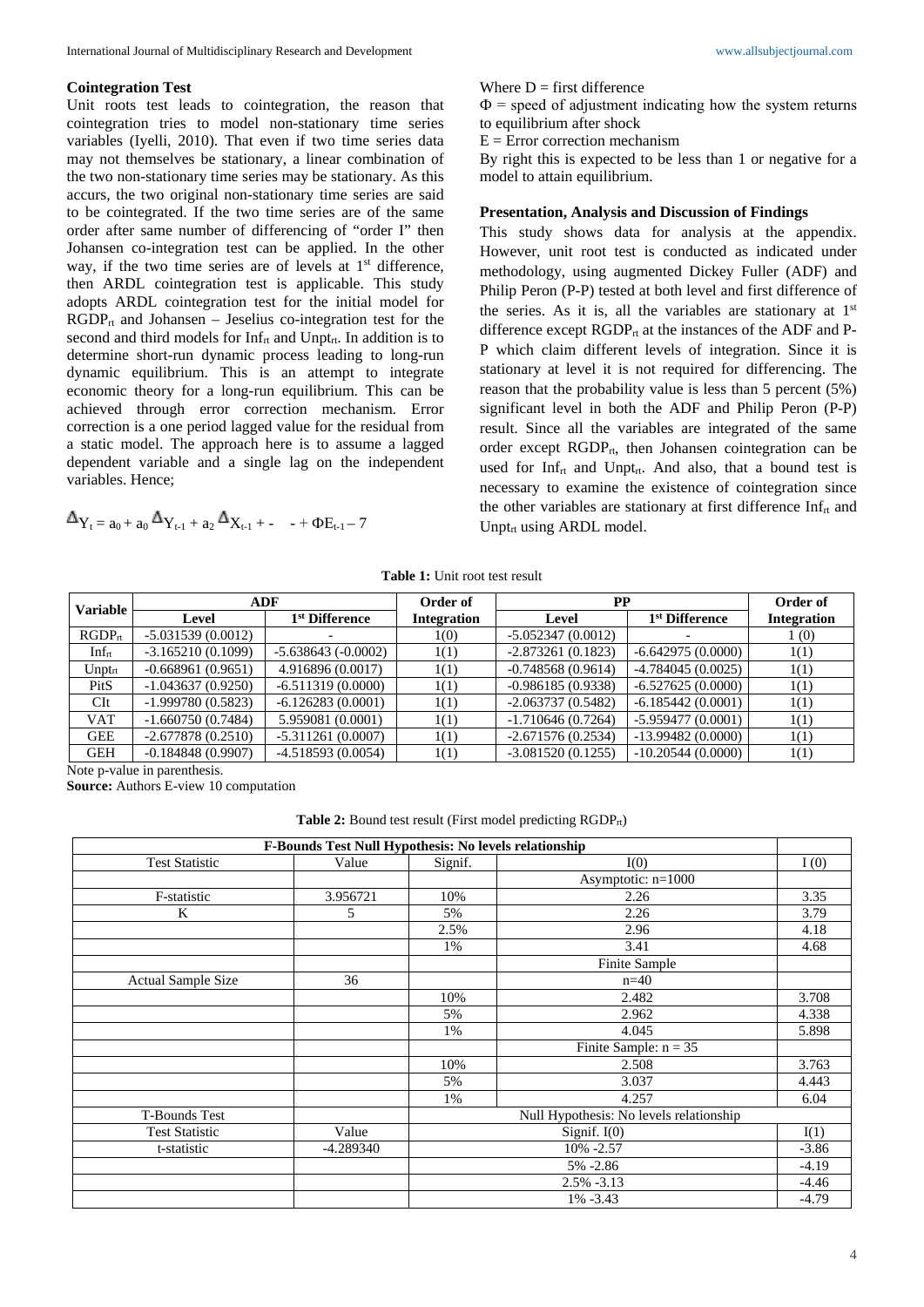### **Cointegration Test**

Unit roots test leads to cointegration, the reason that cointegration tries to model non-stationary time series variables (Iyelli, 2010). That even if two time series data may not themselves be stationary, a linear combination of the two non-stationary time series may be stationary. As this accurs, the two original non-stationary time series are said to be cointegrated. If the two time series are of the same order after same number of differencing of "order I" then Johansen co-integration test can be applied. In the other way, if the two time series are of levels at  $1<sup>st</sup>$  difference, then ARDL cointegration test is applicable. This study adopts ARDL cointegration test for the initial model for  $RGDP_{rt}$  and Johansen – Jeselius co-integration test for the second and third models for  $Inf_{rt}$  and Unpt<sub>rt</sub>. In addition is to determine short-run dynamic process leading to long-run dynamic equilibrium. This is an attempt to integrate economic theory for a long-run equilibrium. This can be achieved through error correction mechanism. Error correction is a one period lagged value for the residual from a static model. The approach here is to assume a lagged dependent variable and a single lag on the independent variables. Hence;

$$
\Delta_{Y_t = a_0 + a_0} \Delta_{Y_{t-1} + a_2} \Delta_{X_{t-1} + - - + \Phi E_{t-1} - 7}
$$

Where  $D =$  first difference

 $\Phi$  = speed of adjustment indicating how the system returns to equilibrium after shock

 $E =$  Error correction mechanism

By right this is expected to be less than 1 or negative for a model to attain equilibrium.

### **Presentation, Analysis and Discussion of Findings**

This study shows data for analysis at the appendix. However, unit root test is conducted as indicated under methodology, using augmented Dickey Fuller (ADF) and Philip Peron (P-P) tested at both level and first difference of the series. As it is, all the variables are stationary at  $1<sup>st</sup>$ difference except  $RGDP_{rt}$  at the instances of the ADF and P-P which claim different levels of integration. Since it is stationary at level it is not required for differencing. The reason that the probability value is less than 5 percent (5%) significant level in both the ADF and Philip Peron (P-P) result. Since all the variables are integrated of the same order except  $RGDP_{rt}$ , then Johansen cointegration can be used for Inf<sub>rt</sub> and Unpt<sub>rt</sub>. And also, that a bound test is necessary to examine the existence of cointegration since the other variables are stationary at first difference  $Inf<sub>rt</sub>$  and Unpt $_{rt}$  using ARDL model.

**Table 1:** Unit root test result

| <b>Variable</b> |                     | ADF                        | Order of           | PP                  |                            | Order of           |
|-----------------|---------------------|----------------------------|--------------------|---------------------|----------------------------|--------------------|
|                 | Level               | 1 <sup>st</sup> Difference | <b>Integration</b> | Level               | 1 <sup>st</sup> Difference | <b>Integration</b> |
| $RGDP_{rt}$     | $-5.031539(0.0012)$ |                            | 1(0)               | $-5.052347(0.0012)$ |                            | $\perp(0)$         |
| $Inf_{rt}$      | $-3.165210(0.1099)$ | $-5.638643(-0.0002)$       | 1(1)               | $-2.873261(0.1823)$ | $-6.642975(0.0000)$        | 1(1)               |
| $Unpt_{rt}$     | $-0.668961(0.9651)$ | 4.916896 (0.0017)          | 1(1)               | $-0.748568(0.9614)$ | $-4.784045(0.0025)$        | 1(1)               |
| PitS            | $-1.043637(0.9250)$ | $-6.511319(0.0000)$        | 1(1)               | $-0.986185(0.9338)$ | $-6.527625(0.0000)$        | 1(1)               |
| $\mathbf{C}$ It | $-1.999780(0.5823)$ | $-6.126283(0.0001)$        | 1(1)               | $-2.063737(0.5482)$ | $-6.185442(0.0001)$        | 1(1)               |
| <b>VAT</b>      | $-1.660750(0.7484)$ | 5.959081 (0.0001)          | 1(1)               | $-1.710646(0.7264)$ | $-5.959477(0.0001)$        | 1(1)               |
| <b>GEE</b>      | $-2.677878(0.2510)$ | $-5.311261(0.0007)$        | 1(1)               | $-2.671576(0.2534)$ | $-13.99482(0.0000)$        | 1(1)               |
| <b>GEH</b>      | $-0.184848(0.9907)$ | $-4.518593(0.0054)$        | 1(1)               | $-3.081520(0.1255)$ | $-10.20544(0.0000)$        | 1(1)               |

Note p-value in parenthesis.

**Source:** Authors E-view 10 computation

Table 2: Bound test result (First model predicting RGDP<sub>rt</sub>)

|                           | F-Bounds Test Null Hypothesis: No levels relationship |                                         |                         |         |
|---------------------------|-------------------------------------------------------|-----------------------------------------|-------------------------|---------|
| <b>Test Statistic</b>     | Value                                                 | Signif.                                 | I(0)                    | I(0)    |
|                           |                                                       |                                         | Asymptotic: $n=1000$    |         |
| F-statistic               | 3.956721                                              | 10%                                     | 2.26                    | 3.35    |
| K                         | 5                                                     | 5%                                      | 2.26                    | 3.79    |
|                           |                                                       | 2.5%                                    | 2.96                    | 4.18    |
|                           |                                                       | 1%                                      | 3.41                    | 4.68    |
|                           |                                                       |                                         | Finite Sample           |         |
| <b>Actual Sample Size</b> | 36                                                    |                                         | $n=40$                  |         |
|                           |                                                       | 10%                                     | 2.482                   | 3.708   |
|                           |                                                       | 5%                                      | 2.962                   | 4.338   |
|                           |                                                       | 1%                                      | 4.045                   | 5.898   |
|                           |                                                       |                                         | Finite Sample: $n = 35$ |         |
|                           |                                                       | 10%                                     | 2.508                   | 3.763   |
|                           |                                                       | 5%                                      | 3.037                   | 4.443   |
|                           |                                                       | 1%                                      | 4.257                   | 6.04    |
| <b>T-Bounds Test</b>      |                                                       | Null Hypothesis: No levels relationship |                         |         |
| <b>Test Statistic</b>     | Value                                                 | Signif. $I(0)$<br>I(1)                  |                         |         |
| t-statistic               | $-4.289340$                                           |                                         | 10% -2.57               | $-3.86$ |
|                           |                                                       |                                         | 5% -2.86                | $-4.19$ |
|                           |                                                       |                                         | $2.5\% -3.13$           | $-4.46$ |
|                           |                                                       |                                         | $1\% -3.43$             | $-4.79$ |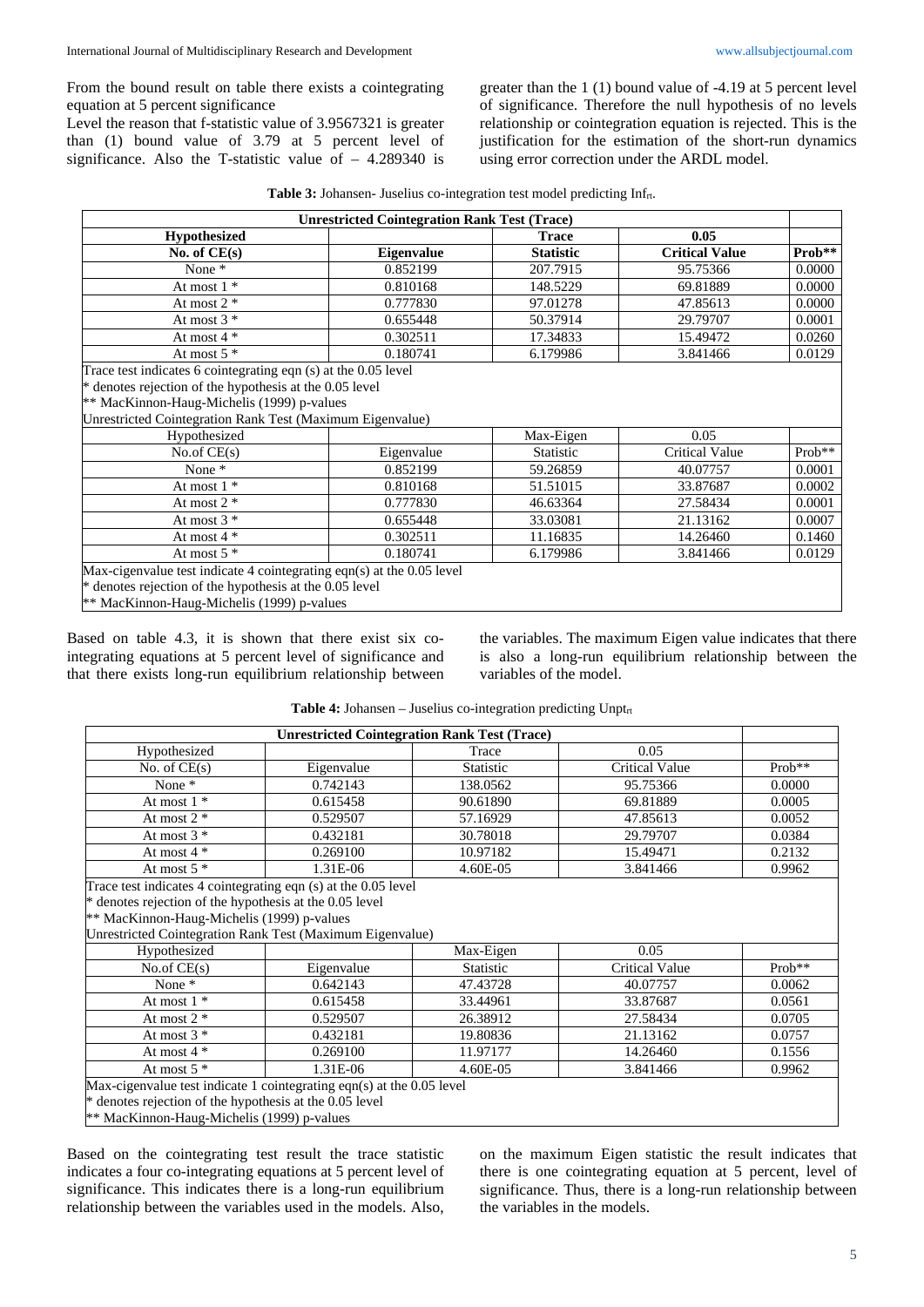From the bound result on table there exists a cointegrating equation at 5 percent significance

Level the reason that f-statistic value of 3.9567321 is greater than (1) bound value of 3.79 at 5 percent level of significance. Also the T-statistic value of – 4.289340 is greater than the 1 (1) bound value of -4.19 at 5 percent level of significance. Therefore the null hypothesis of no levels relationship or cointegration equation is rejected. This is the justification for the estimation of the short-run dynamics using error correction under the ARDL model.

|                                                                       | <b>Unrestricted Cointegration Rank Test (Trace)</b> |                  |                       |        |
|-----------------------------------------------------------------------|-----------------------------------------------------|------------------|-----------------------|--------|
| <b>Hypothesized</b>                                                   |                                                     | <b>Trace</b>     | 0.05                  |        |
| No. of $CE(s)$                                                        | <b>Eigenvalue</b>                                   | <b>Statistic</b> | <b>Critical Value</b> | Prob** |
| None $*$                                                              | 0.852199                                            | 207.7915         | 95.75366              | 0.0000 |
| At most $1^*$                                                         | 0.810168                                            | 148.5229         | 69.81889              | 0.0000 |
| At most $2 *$                                                         | 0.777830                                            | 97.01278         | 47.85613              | 0.0000 |
| At most $3 *$                                                         | 0.655448                                            | 50.37914         | 29.79707              | 0.0001 |
| At most $4 *$                                                         | 0.302511                                            | 17.34833         | 15.49472              | 0.0260 |
| At most $5*$                                                          | 0.180741                                            | 6.179986         | 3.841466              | 0.0129 |
| Trace test indicates 6 cointegrating eqn (s) at the 0.05 level        |                                                     |                  |                       |        |
| * denotes rejection of the hypothesis at the 0.05 level               |                                                     |                  |                       |        |
| ** MacKinnon-Haug-Michelis (1999) p-values                            |                                                     |                  |                       |        |
| Unrestricted Cointegration Rank Test (Maximum Eigenvalue)             |                                                     |                  |                       |        |
| Hypothesized                                                          |                                                     | Max-Eigen        | 0.05                  |        |
| No.of $CE(s)$                                                         | Eigenvalue                                          | Statistic        | <b>Critical Value</b> | Prob** |
| None *                                                                | 0.852199                                            | 59.26859         | 40.07757              | 0.0001 |
| At most $1 *$                                                         | 0.810168                                            | 51.51015         | 33.87687              | 0.0002 |
| At most $2 *$                                                         | 0.777830                                            | 46.63364         | 27.58434              | 0.0001 |
| At most $3 *$                                                         | 0.655448                                            | 33.03081         | 21.13162              | 0.0007 |
| At most $4 *$                                                         | 0.302511                                            | 11.16835         | 14.26460              | 0.1460 |
| At most $5$ $*$                                                       | 0.180741                                            | 6.179986         | 3.841466              | 0.0129 |
| Max-cigenvalue test indicate 4 cointegrating eqn(s) at the 0.05 level |                                                     |                  |                       |        |
| * denotes rejection of the hypothesis at the 0.05 level               |                                                     |                  |                       |        |
| ** MacKinnon-Haug-Michelis (1999) p-values                            |                                                     |                  |                       |        |

Based on table 4.3, it is shown that there exist six cointegrating equations at 5 percent level of significance and that there exists long-run equilibrium relationship between the variables. The maximum Eigen value indicates that there is also a long-run equilibrium relationship between the variables of the model.

| <b>Unrestricted Cointegration Rank Test (Trace)</b>                   |            |                  |                       |          |  |  |
|-----------------------------------------------------------------------|------------|------------------|-----------------------|----------|--|--|
| Hypothesized                                                          |            | Trace            | 0.05                  |          |  |  |
| No. of $CE(s)$                                                        | Eigenvalue | <b>Statistic</b> | <b>Critical Value</b> | $Prob**$ |  |  |
| None *                                                                | 0.742143   | 138.0562         | 95.75366              | 0.0000   |  |  |
| At most 1 $^\ast$                                                     | 0.615458   | 90.61890         | 69.81889              | 0.0005   |  |  |
| At most $2 *$                                                         | 0.529507   | 57.16929         | 47.85613              | 0.0052   |  |  |
| At most $3 *$                                                         | 0.432181   | 30.78018         | 29.79707              | 0.0384   |  |  |
| At most $4 *$                                                         | 0.269100   | 10.97182         | 15.49471              | 0.2132   |  |  |
| At most $5*$                                                          | 1.31E-06   | 4.60E-05         | 3.841466              | 0.9962   |  |  |
| Trace test indicates 4 cointegrating eqn (s) at the 0.05 level        |            |                  |                       |          |  |  |
| * denotes rejection of the hypothesis at the 0.05 level               |            |                  |                       |          |  |  |
| ** MacKinnon-Haug-Michelis (1999) p-values                            |            |                  |                       |          |  |  |
| Unrestricted Cointegration Rank Test (Maximum Eigenvalue)             |            |                  |                       |          |  |  |
| Hypothesized                                                          |            | Max-Eigen        | 0.05                  |          |  |  |
| No.of $CE(s)$                                                         | Eigenvalue | Statistic        | <b>Critical Value</b> | Prob**   |  |  |
| None $*$                                                              | 0.642143   | 47.43728         | 40.07757              | 0.0062   |  |  |
| At most $1 *$                                                         | 0.615458   | 33.44961         | 33.87687              | 0.0561   |  |  |
| At most $2 *$                                                         | 0.529507   | 26.38912         | 27.58434              | 0.0705   |  |  |
| At most $3 *$                                                         | 0.432181   | 19.80836         | 21.13162              | 0.0757   |  |  |
| At most $4 *$                                                         | 0.269100   | 11.97177         | 14.26460              | 0.1556   |  |  |
| At most $5*$                                                          | 1.31E-06   | 4.60E-05         | 3.841466              | 0.9962   |  |  |
| Max-cigenvalue test indicate 1 cointegrating eqn(s) at the 0.05 level |            |                  |                       |          |  |  |
| * denotes rejection of the hypothesis at the 0.05 level               |            |                  |                       |          |  |  |
| ** MacKinnon-Haug-Michelis (1999) p-values                            |            |                  |                       |          |  |  |

**Table 4:** Johansen – Juselius co-integration predicting Unptrt

Based on the cointegrating test result the trace statistic indicates a four co-integrating equations at 5 percent level of significance. This indicates there is a long-run equilibrium relationship between the variables used in the models. Also, on the maximum Eigen statistic the result indicates that there is one cointegrating equation at 5 percent, level of significance. Thus, there is a long-run relationship between the variables in the models.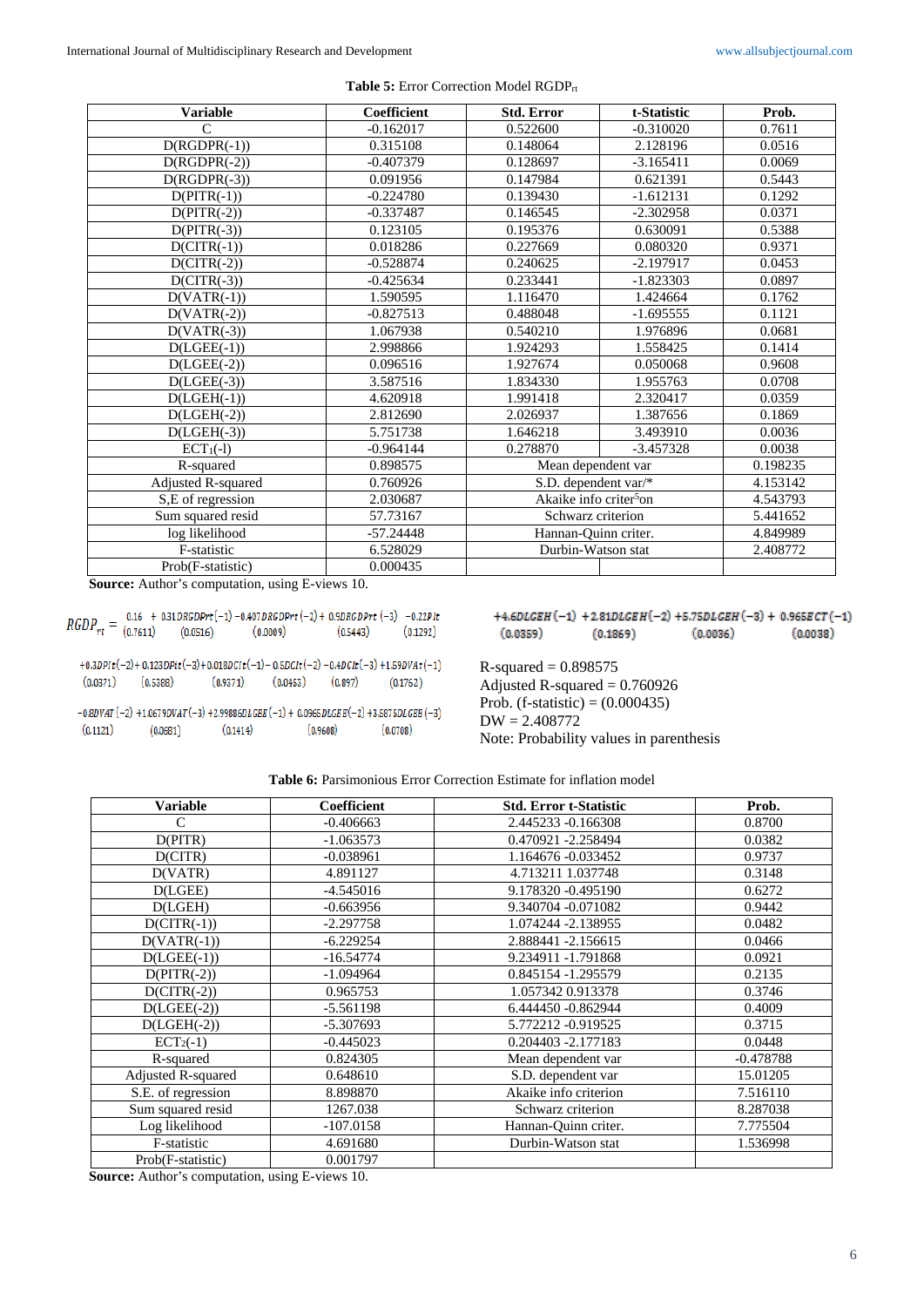| <b>Variable</b>           | Coefficient | <b>Std. Error</b>                  | t-Statistic | Prob.    |
|---------------------------|-------------|------------------------------------|-------------|----------|
| $\mathsf{C}$              | $-0.162017$ | 0.522600                           | $-0.310020$ | 0.7611   |
| $\overline{D(RGDPR(-1))}$ | 0.315108    | 0.148064                           | 2.128196    | 0.0516   |
| $\overline{D(RGDPR(-2))}$ | $-0.407379$ | 0.128697                           | $-3.165411$ | 0.0069   |
| $D(RGDPR(-3))$            | 0.091956    | 0.147984                           | 0.621391    | 0.5443   |
| $D(PITR(-1))$             | $-0.224780$ | 0.139430                           | $-1.612131$ | 0.1292   |
| $D(PITR(-2))$             | $-0.337487$ | 0.146545                           | $-2.302958$ | 0.0371   |
| $D(PITR(-3))$             | 0.123105    | 0.195376                           | 0.630091    | 0.5388   |
| $D(CITR(-1))$             | 0.018286    | 0.227669                           | 0.080320    | 0.9371   |
| $D(CITR(-2))$             | $-0.528874$ | 0.240625                           | $-2.197917$ | 0.0453   |
| $D(CITR(-3))$             | $-0.425634$ | 0.233441                           | $-1.823303$ | 0.0897   |
| $D(VATR(-1))$             | 1.590595    | 1.116470                           | 1.424664    | 0.1762   |
| $D(VATR(-2))$             | $-0.827513$ | 0.488048                           | $-1.695555$ | 0.1121   |
| $D(VATR(-3))$             | 1.067938    | 0.540210                           | 1.976896    | 0.0681   |
| $D( LGEE(-1))$            | 2.998866    | 1.924293                           | 1.558425    | 0.1414   |
| $D( LGEE(-2))$            | 0.096516    | 1.927674                           | 0.050068    | 0.9608   |
| $D( LGEE(-3))$            | 3.587516    | 1.834330                           | 1.955763    | 0.0708   |
| $D( LGEH(-1))$            | 4.620918    | 1.991418                           | 2.320417    | 0.0359   |
| $D(LGEH(-2))$             | 2.812690    | 2.026937                           | 1.387656    | 0.1869   |
| $D(LGEH(-3))$             | 5.751738    | 1.646218                           | 3.493910    | 0.0036   |
| $ECT1(-1)$                | $-0.964144$ | 0.278870                           | $-3.457328$ | 0.0038   |
| R-squared                 | 0.898575    | Mean dependent var                 |             | 0.198235 |
| Adjusted R-squared        | 0.760926    | S.D. dependent var/*               |             | 4.153142 |
| S,E of regression         | 2.030687    | Akaike info criter <sup>5</sup> on |             | 4.543793 |
| Sum squared resid         | 57.73167    | Schwarz criterion                  |             | 5.441652 |
| log likelihood            | $-57.24448$ | Hannan-Quinn criter.               |             | 4.849989 |
| F-statistic               | 6.528029    | Durbin-Watson stat                 |             | 2.408772 |
| Prob(F-statistic)         | 0.000435    |                                    |             |          |

Table 5: Error Correction Model RGDP<sub>rt</sub>

**Source:** Author's computation, using E-views 10.

 $RGDP_{rt} = \frac{0.16}{(0.7611)}$  $0.16 + 0.31DRGDPrt(-1) - 0.407DRGDPrt(-2) + 0.9DRGDPrt(-3) -0.22PIt$  $(0.1292)$  $(0.0516)$  $(0.0009)$  $(0.5443)$ 

 $+0.3DPIt(-2)+0.123DPIt(-3)+0.018DCIt(-1)-0.5DCIt(-2)-0.4DCIt(-3)+1.59DVAL(-1)$  $(0.0371)$   $(0.5388)$  $(0.9371)$  $(0.0453)$  $(0.897)$  $(0.1762)$ 

 $-0.8DVAT(-2) +1.0679DVAT(-3) +2.99886DLGEE(-1) + 0.0965DLGEE(-2) +3.5875DLGEE(-3)$  $(0.1121)$  $(0.1414)$  $(0.9608)$  $(0.0681)$  $(0.0708)$ 

|          |          | $+4.6DLGEH(-1) +2.81DLGEH(-2) +5.75DLGEH(-3) + 0.965ECT(-1)$ |          |
|----------|----------|--------------------------------------------------------------|----------|
| (0.0359) | (0.1869) | (0.0036)                                                     | (0.0038) |

 $R$ -squared = 0.898575 Adjusted R-squared  $= 0.760926$ Prob. (f-statistic) =  $(0.000435)$ DW = 2.408772 Note: Probability values in parenthesis

**Table 6:** Parsimonious Error Correction Estimate for inflation model

| <b>Variable</b>    | <b>Coefficient</b> | <b>Std. Error t-Statistic</b> | Prob.       |
|--------------------|--------------------|-------------------------------|-------------|
| $\mathcal{C}$      | $-0.406663$        | 2.445233 -0.166308            | 0.8700      |
| D(PITR)            | $-1.063573$        | 0.470921 -2.258494            | 0.0382      |
| D(CITR)            | $-0.038961$        | 1.164676 - 0.033452           | 0.9737      |
| D(VATR)            | 4.891127           | 4.713211 1.037748             | 0.3148      |
| D(LGEE)            | $-4.545016$        | 9.178320 -0.495190            | 0.6272      |
| D(LGEH)            | $-0.663956$        | 9.340704 -0.071082            | 0.9442      |
| $D(CITR(-1))$      | $-2.297758$        | 1.074244 - 2.138955           | 0.0482      |
| $D(VATR(-1))$      | $-6.229254$        | 2.888441 -2.156615            | 0.0466      |
| $D( LGEE(-1))$     | $-16.54774$        | 9.234911 -1.791868            | 0.0921      |
| $D(PITR(-2))$      | $-1.094964$        | 0.845154 -1.295579            | 0.2135      |
| $D(CITR(-2))$      | 0.965753           | 1.057342 0.913378             | 0.3746      |
| $D(LGEE(-2))$      | $-5.561198$        | 6.444450 - 0.862944           | 0.4009      |
| $D(LGEH(-2))$      | $-5.307693$        | 5.772212 -0.919525            | 0.3715      |
| $ECT2(-1)$         | $-0.445023$        | 0.204403 -2.177183            | 0.0448      |
| R-squared          | 0.824305           | Mean dependent var            | $-0.478788$ |
| Adjusted R-squared | 0.648610           | S.D. dependent var            | 15.01205    |
| S.E. of regression | 8.898870           | Akaike info criterion         | 7.516110    |
| Sum squared resid  | 1267.038           | Schwarz criterion             | 8.287038    |
| Log likelihood     | $-107.0158$        | Hannan-Quinn criter.          | 7.775504    |
| F-statistic        | 4.691680           | Durbin-Watson stat            | 1.536998    |
| Prob(F-statistic)  | 0.001797           |                               |             |

**Source:** Author's computation, using E-views 10.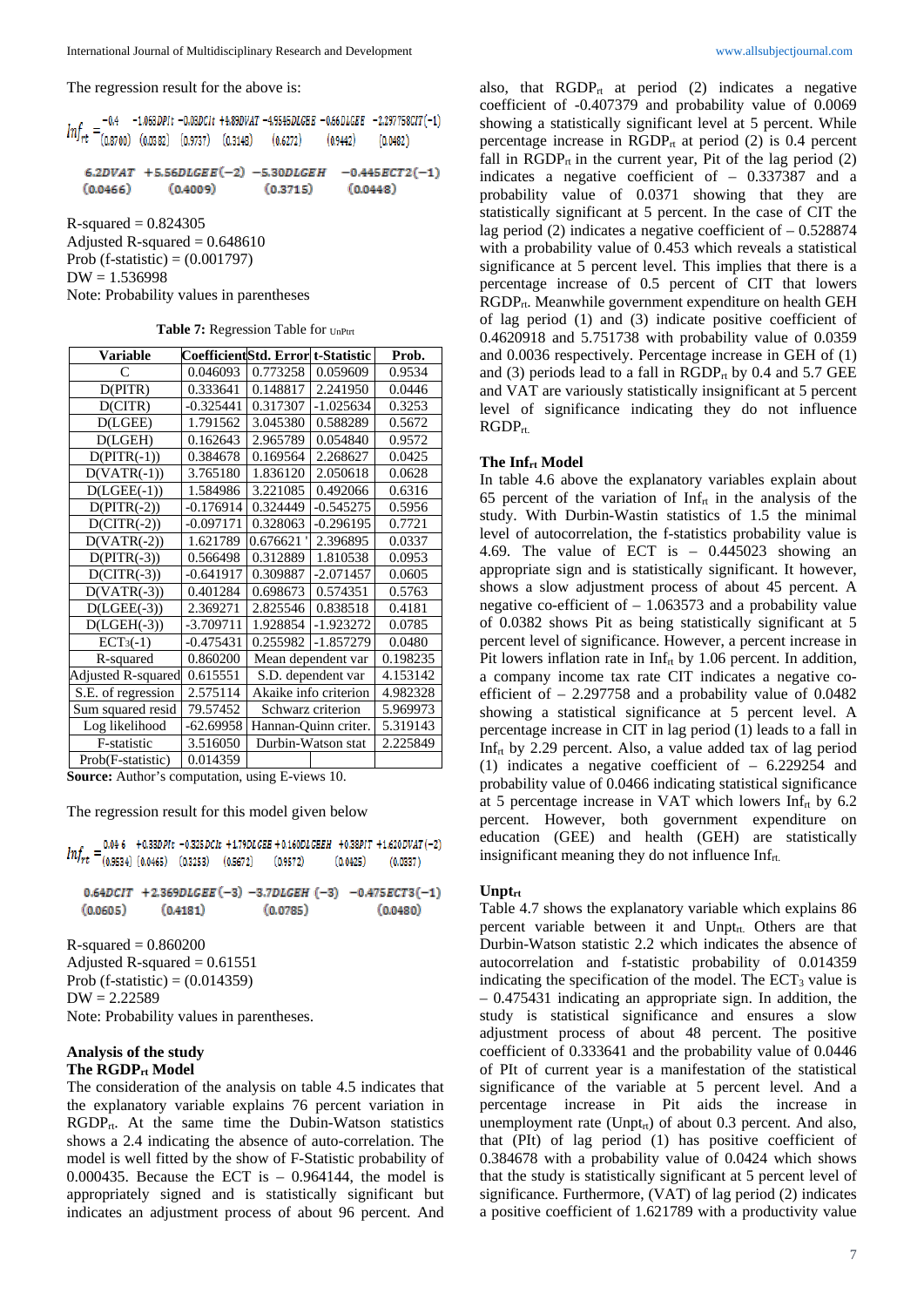The regression result for the above is:

 $-0.4$  -1.063DPIt  $-0.03DClt$  +4.89DVAT  $-4.9545DLCEE$  -0.66DLCEE  $-2.297758ClT(-1)$  $Inf_{rt}$  $(0.8700)$   $(0.0382)$   $(0.9737)$   $(0.3148)$  $(0.9442)$  $(0.6272)$  $(0.0482)$ 

 $6.2DVAT$  +5.56DLGEE $(-2)$  -5.30DLGEH  $-0.445ECT2(-1)$  $(0.0466)$  $(0.4009)$  $(0.3715)$  $(0.0448)$ 

 $R$ -squared = 0.824305 Adjusted R-squared  $= 0.648610$ 

Prob (f-statistic) =  $(0.001797)$ 

 $DW = 1.536998$ 

Note: Probability values in parentheses

|  |  | <b>Table 7:</b> Regression Table for UnPtrt |  |  |  |
|--|--|---------------------------------------------|--|--|--|
|--|--|---------------------------------------------|--|--|--|

| <b>Variable</b>           | CoefficientStd. Error t-Statistic |                       |                    | Prob.    |
|---------------------------|-----------------------------------|-----------------------|--------------------|----------|
| C                         | 0.046093                          | 0.773258              | 0.059609           | 0.9534   |
| D(PITR)                   | 0.333641                          | 0.148817              | 2.241950           | 0.0446   |
| D(CITR)                   | $-0.325441$                       | 0.317307              | $-1.025634$        | 0.3253   |
| D(LGEE)                   | 1.791562                          | 3.045380              | 0.588289           | 0.5672   |
| D(LGEH)                   | 0.162643                          | 2.965789              | 0.054840           | 0.9572   |
| $D(PITR(-1))$             | 0.384678                          | 0.169564              | 2.268627           | 0.0425   |
| $D(VATR(-1))$             | 3.765180                          | 1.836120              | 2.050618           | 0.0628   |
| $D(LGEE(-1))$             | 1.584986                          | 3.221085              | 0.492066           | 0.6316   |
| $D(PITR(-2))$             | $-0.176914$                       | 0.324449              | $-0.545275$        | 0.5956   |
| $D(CITR(-2))$             | $-0.097171$                       | 0.328063              | $-0.296195$        | 0.7721   |
| $D(VATR(-2))$             | 1.621789                          | 0.676621              | 2.396895           | 0.0337   |
| $D(PITR(-3))$             | 0.566498                          | 0.312889              | 1.810538           | 0.0953   |
| $D(CITR(-3))$             | $-0.641917$                       | 0.309887              | $-2.071457$        | 0.0605   |
| $D(VATR(-3))$             | 0.401284                          | 0.698673              | 0.574351           | 0.5763   |
| $D(LGEE(-3))$             | 2.369271                          | 2.825546              | 0.838518           | 0.4181   |
| $D(LGEH(-3))$             | $-3.709711$                       | 1.928854              | -1.923272          | 0.0785   |
| $ECT3(-1)$                | $-0.475431$                       | 0.255982              | -1.857279          | 0.0480   |
| R-squared                 | 0.860200                          |                       | Mean dependent var | 0.198235 |
| <b>Adjusted R-squared</b> | 0.615551                          |                       | S.D. dependent var | 4.153142 |
| S.E. of regression        | 2.575114                          | Akaike info criterion |                    | 4.982328 |
| Sum squared resid         | 79.57452                          | Schwarz criterion     |                    | 5.969973 |
| Log likelihood            | $-62.69958$                       | Hannan-Quinn criter.  |                    | 5.319143 |
| F-statistic               | 3.516050                          |                       | Durbin-Watson stat | 2.225849 |
| Prob(F-statistic)         | 0.014359                          |                       |                    |          |

**Source:** Author's computation, using E-views 10.

The regression result for this model given below

 $0.046$  +0.33DPIt -0.325DCIt +1.79DLGEE +0.160DLGEEH +0.38PIT +1.620DVAT(-2)  $Inf_{rt} = (0.9534) (0.0465) (0.3253) (0.5672) (0.9572)$  $(0.0425)$  $(0.0337)$ 

 $0.64 DCT + 2.369 DLCEE(-3) -3.7 DLCEH (-3) -0.475 ECT3(-1)$  $(0.0605)$  $(0.4181)$  $(0.0785)$  $(0.0480)$ 

 $R$ -squared =  $0.860200$ Adjusted R-squared  $= 0.61551$ Prob (f-statistic) =  $(0.014359)$  $DW = 2.22589$ Note: Probability values in parentheses.

## **Analysis of the study The RGDPrt Model**

The consideration of the analysis on table 4.5 indicates that the explanatory variable explains 76 percent variation in  $RGDP_{rt}$ . At the same time the Dubin-Watson statistics shows a 2.4 indicating the absence of auto-correlation. The model is well fitted by the show of F-Statistic probability of 0.000435. Because the ECT is  $-$  0.964144, the model is appropriately signed and is statistically significant but indicates an adjustment process of about 96 percent. And

also, that  $RGDP_{rt}$  at period (2) indicates a negative coefficient of -0.407379 and probability value of 0.0069 showing a statistically significant level at 5 percent. While percentage increase in  $RGDP_{rt}$  at period (2) is 0.4 percent fall in  $RGDP_{rt}$  in the current year, Pit of the lag period  $(2)$ indicates a negative coefficient of – 0.337387 and a probability value of 0.0371 showing that they are statistically significant at 5 percent. In the case of CIT the lag period (2) indicates a negative coefficient of  $-0.528874$ with a probability value of 0.453 which reveals a statistical significance at 5 percent level. This implies that there is a percentage increase of 0.5 percent of CIT that lowers RGDP<sub>rt</sub>. Meanwhile government expenditure on health GEH of lag period (1) and (3) indicate positive coefficient of 0.4620918 and 5.751738 with probability value of 0.0359 and 0.0036 respectively. Percentage increase in GEH of (1) and (3) periods lead to a fall in  $RGDP_{rt}$  by 0.4 and 5.7 GEE and VAT are variously statistically insignificant at 5 percent level of significance indicating they do not influence  $RGDP_{rt}$ 

#### **The Infrt Model**

In table 4.6 above the explanatory variables explain about 65 percent of the variation of Inf<sub>rt</sub> in the analysis of the study. With Durbin-Wastin statistics of 1.5 the minimal level of autocorrelation, the f-statistics probability value is 4.69. The value of ECT is – 0.445023 showing an appropriate sign and is statistically significant. It however, shows a slow adjustment process of about 45 percent. A negative co-efficient of  $-1.063573$  and a probability value of 0.0382 shows Pit as being statistically significant at 5 percent level of significance. However, a percent increase in Pit lowers inflation rate in  $Inf_{rt}$  by 1.06 percent. In addition, a company income tax rate CIT indicates a negative coefficient of  $-2.297758$  and a probability value of 0.0482 showing a statistical significance at 5 percent level. A percentage increase in CIT in lag period (1) leads to a fall in Inf<sub>rt</sub> by 2.29 percent. Also, a value added tax of lag period (1) indicates a negative coefficient of – 6.229254 and probability value of 0.0466 indicating statistical significance at 5 percentage increase in VAT which lowers  $Inf_{rt}$  by 6.2 percent. However, both government expenditure on education (GEE) and health (GEH) are statistically insignificant meaning they do not influence  $Inf_{rt.}$ 

#### **Unptrt**

Table 4.7 shows the explanatory variable which explains 86 percent variable between it and Unpt<sub>rt.</sub> Others are that Durbin-Watson statistic 2.2 which indicates the absence of autocorrelation and f-statistic probability of 0.014359 indicating the specification of the model. The  $ECT_3$  value is – 0.475431 indicating an appropriate sign. In addition, the study is statistical significance and ensures a slow adjustment process of about 48 percent. The positive coefficient of 0.333641 and the probability value of 0.0446 of PIt of current year is a manifestation of the statistical significance of the variable at 5 percent level. And a percentage increase in Pit aids the increase in unemployment rate (Unpt<sub>rt</sub>) of about 0.3 percent. And also, that (PIt) of lag period (1) has positive coefficient of 0.384678 with a probability value of 0.0424 which shows that the study is statistically significant at 5 percent level of significance. Furthermore, (VAT) of lag period (2) indicates a positive coefficient of 1.621789 with a productivity value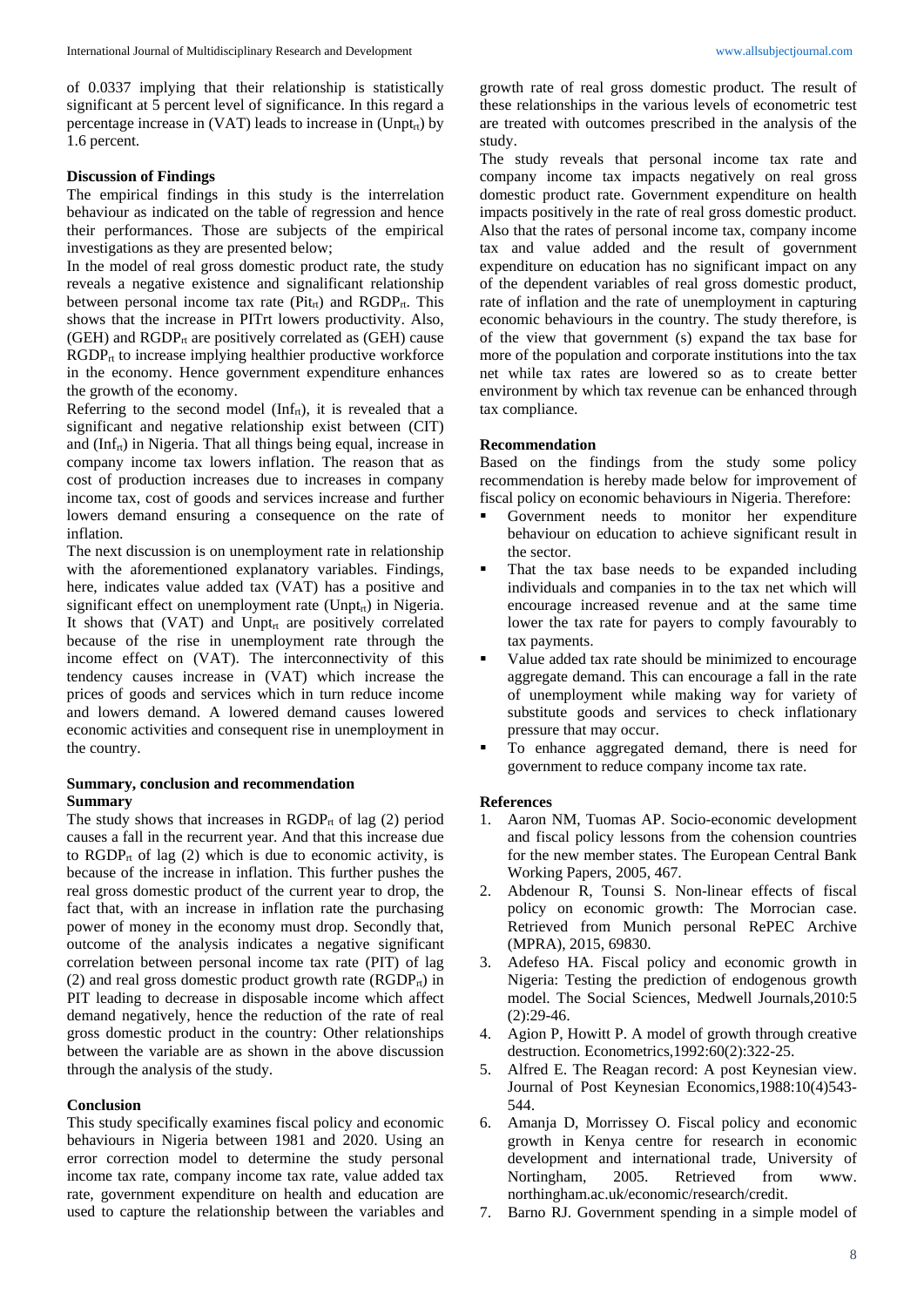of 0.0337 implying that their relationship is statistically significant at 5 percent level of significance. In this regard a percentage increase in  $(VAT)$  leads to increase in  $(Unpt_{rt})$  by 1.6 percent.

### **Discussion of Findings**

The empirical findings in this study is the interrelation behaviour as indicated on the table of regression and hence their performances. Those are subjects of the empirical investigations as they are presented below;

In the model of real gross domestic product rate, the study reveals a negative existence and signalificant relationship between personal income tax rate ( $Pit_{rt}$ ) and  $RGDP_{rt}$ . This shows that the increase in PITrt lowers productivity. Also, (GEH) and  $RGDP_{rt}$  are positively correlated as (GEH) cause  $RGDP<sub>rt</sub>$  to increase implying healthier productive workforce in the economy. Hence government expenditure enhances the growth of the economy.

Referring to the second model ( $Inf<sub>rt</sub>$ ), it is revealed that a significant and negative relationship exist between (CIT) and  $(Inf<sub>rt</sub>)$  in Nigeria. That all things being equal, increase in company income tax lowers inflation. The reason that as cost of production increases due to increases in company income tax, cost of goods and services increase and further lowers demand ensuring a consequence on the rate of inflation.

The next discussion is on unemployment rate in relationship with the aforementioned explanatory variables. Findings, here, indicates value added tax (VAT) has a positive and significant effect on unemployment rate (Unpt<sub>rt</sub>) in Nigeria. It shows that  $(VAT)$  and Unpt<sub>rt</sub> are positively correlated because of the rise in unemployment rate through the income effect on (VAT). The interconnectivity of this tendency causes increase in (VAT) which increase the prices of goods and services which in turn reduce income and lowers demand. A lowered demand causes lowered economic activities and consequent rise in unemployment in the country.

#### **Summary, conclusion and recommendation Summary**

The study shows that increases in  $RGDP_{rt}$  of lag (2) period causes a fall in the recurrent year. And that this increase due to  $RGDP_{rt}$  of lag (2) which is due to economic activity, is because of the increase in inflation. This further pushes the real gross domestic product of the current year to drop, the fact that, with an increase in inflation rate the purchasing power of money in the economy must drop. Secondly that, outcome of the analysis indicates a negative significant correlation between personal income tax rate (PIT) of lag (2) and real gross domestic product growth rate  $(RGDP_{rt})$  in PIT leading to decrease in disposable income which affect demand negatively, hence the reduction of the rate of real gross domestic product in the country: Other relationships between the variable are as shown in the above discussion through the analysis of the study.

#### **Conclusion**

This study specifically examines fiscal policy and economic behaviours in Nigeria between 1981 and 2020. Using an error correction model to determine the study personal income tax rate, company income tax rate, value added tax rate, government expenditure on health and education are used to capture the relationship between the variables and growth rate of real gross domestic product. The result of these relationships in the various levels of econometric test are treated with outcomes prescribed in the analysis of the study.

The study reveals that personal income tax rate and company income tax impacts negatively on real gross domestic product rate. Government expenditure on health impacts positively in the rate of real gross domestic product. Also that the rates of personal income tax, company income tax and value added and the result of government expenditure on education has no significant impact on any of the dependent variables of real gross domestic product, rate of inflation and the rate of unemployment in capturing economic behaviours in the country. The study therefore, is of the view that government (s) expand the tax base for more of the population and corporate institutions into the tax net while tax rates are lowered so as to create better environment by which tax revenue can be enhanced through tax compliance.

#### **Recommendation**

Based on the findings from the study some policy recommendation is hereby made below for improvement of fiscal policy on economic behaviours in Nigeria. Therefore:

- Government needs to monitor her expenditure behaviour on education to achieve significant result in the sector.
- That the tax base needs to be expanded including individuals and companies in to the tax net which will encourage increased revenue and at the same time lower the tax rate for payers to comply favourably to tax payments.
- Value added tax rate should be minimized to encourage aggregate demand. This can encourage a fall in the rate of unemployment while making way for variety of substitute goods and services to check inflationary pressure that may occur.
- To enhance aggregated demand, there is need for government to reduce company income tax rate.

#### **References**

- 1. Aaron NM, Tuomas AP. Socio-economic development and fiscal policy lessons from the cohension countries for the new member states. The European Central Bank Working Papers, 2005, 467.
- 2. Abdenour R, Tounsi S. Non-linear effects of fiscal policy on economic growth: The Morrocian case. Retrieved from Munich personal RePEC Archive (MPRA), 2015, 69830.
- 3. Adefeso HA. Fiscal policy and economic growth in Nigeria: Testing the prediction of endogenous growth model. The Social Sciences, Medwell Journals,2010:5  $(2):29-46.$
- 4. Agion P, Howitt P. A model of growth through creative destruction. Econometrics,1992:60(2):322-25.
- 5. Alfred E. The Reagan record: A post Keynesian view. Journal of Post Keynesian Economics,1988:10(4)543- 544.
- 6. Amanja D, Morrissey O. Fiscal policy and economic growth in Kenya centre for research in economic development and international trade, University of Nortingham, 2005. Retrieved from www. northingham.ac.uk/economic/research/credit.
- 7. Barno RJ. Government spending in a simple model of